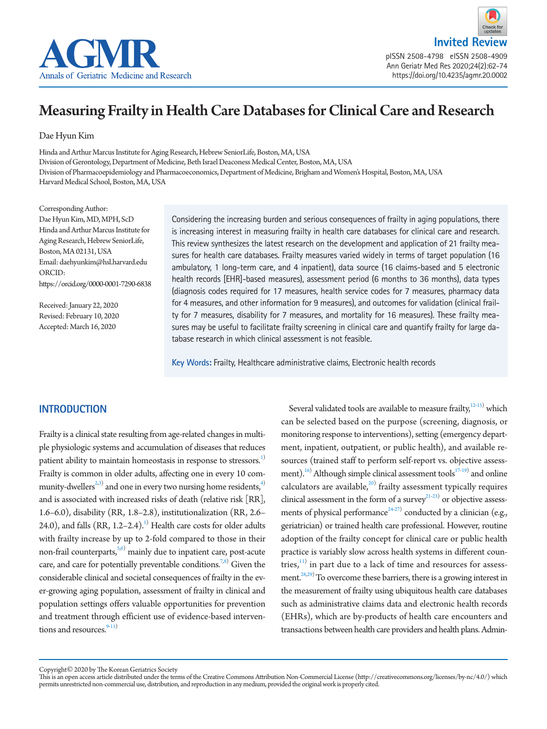

**Invited Review** pISSN 2508-4798 eISSN 2508-4909 Ann Geriatr Med Res 2020;24(2):62-74

https://doi.org/10.4235/agmr.20.0002

# Measuring Frailty in Health Care Databases for Clinical Care and Research

Dae Hyun Kim

Hinda and Arthur Marcus Institute for Aging Research, Hebrew SeniorLife, Boston, MA, USA Division of Gerontology, Department of Medicine, Beth Israel Deaconess Medical Center, Boston, MA, USA Division of Pharmacoepidemiology and Pharmacoeconomics, Department of Medicine, Brigham and Women's Hospital, Boston, MA, USA Harvard Medical School, Boston, MA, USA

Corresponding Author: Dae Hyun Kim, MD, MPH, ScD Hinda and Arthur Marcus Institute for Aging Research, Hebrew SeniorLife, Boston, MA 02131, USA Email: daehyunkim@hsl.harvard.edu ORCID: https://orcid.org/0000-0001-7290-6838

Received: January 22, 2020 Revised: February 10, 2020 Accepted: March 16, 2020

Considering the increasing burden and serious consequences of frailty in aging populations, there is increasing interest in measuring frailty in health care databases for clinical care and research. This review synthesizes the latest research on the development and application of 21 frailty measures for health care databases. Frailty measures varied widely in terms of target population (16 ambulatory, 1 long-term care, and 4 inpatient), data source (16 claims-based and 5 electronic health records [EHR]-based measures), assessment period (6 months to 36 months), data types (diagnosis codes required for 17 measures, health service codes for 7 measures, pharmacy data for 4 measures, and other information for 9 measures), and outcomes for validation (clinical frailty for 7 measures, disability for 7 measures, and mortality for 16 measures). These frailty measures may be useful to facilitate frailty screening in clinical care and quantify frailty for large database research in which clinical assessment is not feasible.

**Key Words:** Frailty, Healthcare administrative claims, Electronic health records

## <span id="page-0-0"></span>**INTRODUCTION**

Frailty is a clinical state resulting from age-related changes in multiple physiologic systems and accumulation of diseases that reduces patient ability to maintain homeostasis in response to stressors.<sup>[1\)](#page-8-0)</sup> Frailty is common in older adults, affecting one in every 10 community-dwellers $^{2,3)}$  $^{2,3)}$  $^{2,3)}$  and one in every two nursing home residents, $^{4)}$ and is associated with increased risks of death (relative risk [RR], 1.6–6.0), disability (RR, 1.8–2.8), institutionalization (RR, 2.6– 24.0), and falls  $(RR, 1.2-2.4).$  $(RR, 1.2-2.4).$  $(RR, 1.2-2.4).$ <sup>1)</sup> Health care costs for older adults with frailty increase by up to 2-fold compared to those in their non-frail counterparts,<sup>5[,6](#page-8-5))</sup> mainly due to inpatient care, post-acute care, and care for potentially preventable conditions.<sup>7[,8\)](#page-8-3)</sup> Given the considerable clinical and societal consequences of frailty in the ever-growing aging population, assessment of frailty in clinical and population settings offers valuable opportunities for prevention and treatment through efficient use of evidence-based interventions and resources. $9-11$  $9-11$ )

Several validated tools are available to measure frailty, $12-15$  $12-15$ ) which can be selected based on the purpose (screening, diagnosis, or monitoring response to interventions), setting (emergency department, inpatient, outpatient, or public health), and available resources (trained staff to perform self-report vs. objective assess-ment).<sup>[16](#page-9-2))</sup> Although simple clinical assessment tools<sup>17[-19](#page-9-4))</sup> and online calculators are available, $20$  frailty assessment typically requires clinical assessment in the form of a survey $2^{1-23}$  or objective assessments of physical performance $^{24-27)}$  $^{24-27)}$  $^{24-27)}$  $^{24-27)}$  conducted by a clinician (e.g., geriatrician) or trained health care professional. However, routine adoption of the frailty concept for clinical care or public health practice is variably slow across health systems in different countries, $11)$  in part due to a lack of time and resources for assess-ment.<sup>[28](#page-9-9)[,29](#page-9-10)</sup> To overcome these barriers, there is a growing interest in the measurement of frailty using ubiquitous health care databases such as administrative claims data and electronic health records (EHRs), which are by-products of health care encounters and transactions between health care providers and health plans. Admin-

Copyright© 2020 by The Korean Geriatrics Society

This is an open access article distributed under the terms of the Creative Commons Attribution Non-Commercial License (http://creativecommons.org/licenses/by-nc/4.0/) which permits unrestricted non-commercial use, distribution, and reproduction in any medium, provided the original work is properly cited.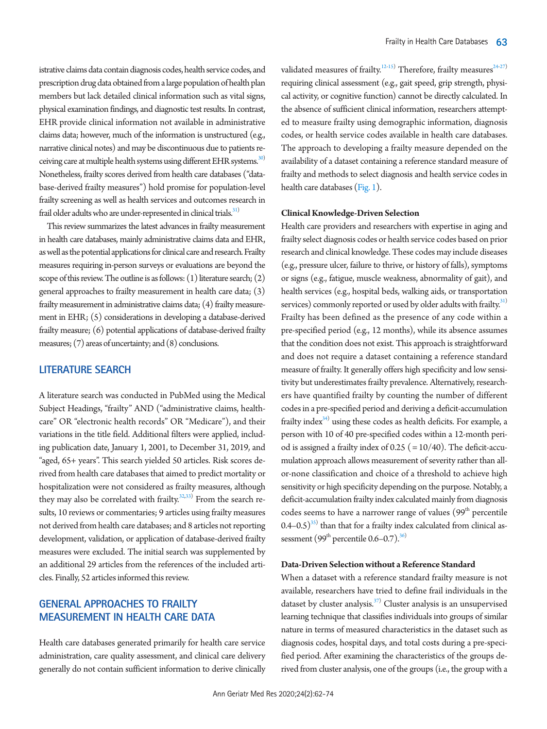istrative claims data contain diagnosis codes, health service codes, and prescription drug data obtained from a large population of health plan members but lack detailed clinical information such as vital signs, physical examination findings, and diagnostic test results. In contrast, EHR provide clinical information not available in administrative claims data; however, much of the information is unstructured (e.g., narrative clinical notes) and may be discontinuous due to patients receiving care at multiple health systems using different EHR systems.<sup>30)</sup> Nonetheless, frailty scores derived from health care databases ("database-derived frailty measures") hold promise for population-level frailty screening as well as health services and outcomes research in frail older adults who are under-represented in clinical trials. $31$ )

This review summarizes the latest advances in frailty measurement in health care databases, mainly administrative claims data and EHR, as well as the potential applications for clinical care and research. Frailty measures requiring in-person surveys or evaluations are beyond the scope of this review. The outline is as follows: (1) literature search; (2) general approaches to frailty measurement in health care data; (3) frailty measurement in administrative claims data; (4) frailty measurement in EHR; (5) considerations in developing a database-derived frailty measure; (6) potential applications of database-derived frailty measures; (7) areas of uncertainty; and (8) conclusions.

## **LITERATURE SEARCH**

A literature search was conducted in PubMed using the Medical Subject Headings, "frailty" AND ("administrative claims, healthcare" OR "electronic health records" OR "Medicare"), and their variations in the title field. Additional filters were applied, including publication date, January 1, 2001, to December 31, 2019, and "aged, 65+ years". This search yielded 50 articles. Risk scores derived from health care databases that aimed to predict mortality or hospitalization were not considered as frailty measures, although they may also be correlated with frailty. $32,333$  From the search results, 10 reviews or commentaries; 9 articles using frailty measures not derived from health care databases; and 8 articles not reporting development, validation, or application of database-derived frailty measures were excluded. The initial search was supplemented by an additional 29 articles from the references of the included articles. Finally, 52 articles informed this review.

# **GENERAL APPROACHES TO FRAILTY MEASUREMENT IN HEALTH CARE DATA**

Health care databases generated primarily for health care service administration, care quality assessment, and clinical care delivery generally do not contain sufficient information to derive clinically

validated measures of frailty.<sup>12-15</sup>) Therefore, frailty measures<sup>24-27</sup> requiring clinical assessment (e.g., gait speed, grip strength, physical activity, or cognitive function) cannot be directly calculated. In the absence of sufficient clinical information, researchers attempted to measure frailty using demographic information, diagnosis codes, or health service codes available in health care databases. The approach to developing a frailty measure depended on the availability of a dataset containing a reference standard measure of frailty and methods to select diagnosis and health service codes in health care databases [\(Fig. 1\)](#page-2-0).

## **Clinical Knowledge-Driven Selection**

Health care providers and researchers with expertise in aging and frailty select diagnosis codes or health service codes based on prior research and clinical knowledge. These codes may include diseases (e.g., pressure ulcer, failure to thrive, or history of falls), symptoms or signs (e.g., fatigue, muscle weakness, abnormality of gait), and health services (e.g., hospital beds, walking aids, or transportation services) commonly reported or used by older adults with frailty.<sup>[31](#page-9-12))</sup> Frailty has been defined as the presence of any code within a pre-specified period (e.g., 12 months), while its absence assumes that the condition does not exist. This approach is straightforward and does not require a dataset containing a reference standard measure of frailty. It generally offers high specificity and low sensitivity but underestimates frailty prevalence. Alternatively, researchers have quantified frailty by counting the number of different codes in a pre-specified period and deriving a deficit-accumulation frailty index $34$ ) using these codes as health deficits. For example, a person with 10 of 40 pre-specified codes within a 12-month period is assigned a frailty index of  $0.25$  ( $= 10/40$ ). The deficit-accumulation approach allows measurement of severity rather than allor-none classification and choice of a threshold to achieve high sensitivity or high specificity depending on the purpose. Notably, a deficit-accumulation frailty index calculated mainly from diagnosis codes seems to have a narrower range of values  $(99<sup>th</sup>$  percentile  $(0.4-0.5)^{35}$  than that for a frailty index calculated from clinical assessment  $(99<sup>th</sup>$  percentile  $0.6-0.7$ ).<sup>36)</sup>

#### **Data-Driven Selection without a Reference Standard**

When a dataset with a reference standard frailty measure is not available, researchers have tried to define frail individuals in the dataset by cluster analysis. $37)$  Cluster analysis is an unsupervised learning technique that classifies individuals into groups of similar nature in terms of measured characteristics in the dataset such as diagnosis codes, hospital days, and total costs during a pre-specified period. After examining the characteristics of the groups derived from cluster analysis, one of the groups (i.e., the group with a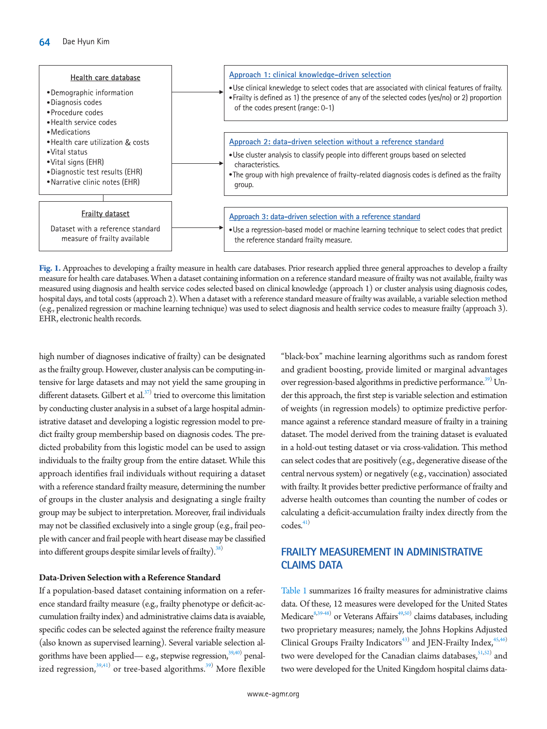<span id="page-2-0"></span>

**Fig. 1.** Approaches to developing a frailty measure in health care databases. Prior research applied three general approaches to develop a frailty measure for health care databases. When a dataset containing information on a reference standard measure of frailty was not available, frailty was measured using diagnosis and health service codes selected based on clinical knowledge (approach 1) or cluster analysis using diagnosis codes, hospital days, and total costs (approach 2). When a dataset with a reference standard measure of frailty was available, a variable selection method (e.g., penalized regression or machine learning technique) was used to select diagnosis and health service codes to measure frailty (approach 3). EHR, electronic health records.

high number of diagnoses indicative of frailty) can be designated as the frailty group. However, cluster analysis can be computing-intensive for large datasets and may not yield the same grouping in different datasets. Gilbert et al. $37$ <sup>)</sup> tried to overcome this limitation by conducting cluster analysis in a subset of a large hospital administrative dataset and developing a logistic regression model to predict frailty group membership based on diagnosis codes. The predicted probability from this logistic model can be used to assign individuals to the frailty group from the entire dataset. While this approach identifies frail individuals without requiring a dataset with a reference standard frailty measure, determining the number of groups in the cluster analysis and designating a single frailty group may be subject to interpretation. Moreover, frail individuals may not be classified exclusively into a single group (e.g., frail people with cancer and frail people with heart disease may be classified into different groups despite similar levels of frailty $).$ <sup>38)</sup>

#### **Data-Driven Selection with a Reference Standard**

If a population-based dataset containing information on a reference standard frailty measure (e.g., frailty phenotype or deficit-accumulation frailty index) and administrative claims data is avaiable, specific codes can be selected against the reference frailty measure (also known as supervised learning). Several variable selection algorithms have been applied— e.g., stepwise regression, $^{39,40)}$  $^{39,40)}$  $^{39,40)}$  $^{39,40)}$  $^{39,40)}$  penalized regression, $^{39,41)}$  $^{39,41)}$  $^{39,41)}$  $^{39,41)}$  or tree-based algorithms. $^{39)}$  $^{39)}$  $^{39)}$  More flexible

"black-box" machine learning algorithms such as random forest and gradient boosting, provide limited or marginal advantages over regression-based algorithms in predictive performance.<sup>39)</sup> Under this approach, the first step is variable selection and estimation of weights (in regression models) to optimize predictive performance against a reference standard measure of frailty in a training dataset. The model derived from the training dataset is evaluated in a hold-out testing dataset or via cross-validation. This method can select codes that are positively (e.g., degenerative disease of the central nervous system) or negatively (e.g., vaccination) associated with frailty. It provides better predictive performance of frailty and adverse health outcomes than counting the number of codes or calculating a deficit-accumulation frailty index directly from the  $\mathrm{codes}^{41}$  $\mathrm{codes}^{41}$  $\mathrm{codes}^{41}$ 

## **FRAILTY MEASUREMENT IN ADMINISTRATIVE CLAIMS DATA**

[Table 1](#page-3-0) summarizes 16 frailty measures for administrative claims data. Of these, 12 measures were developed for the United States Medicare<sup>8,[39](#page-10-0)[-48\)](#page-10-4)</sup> or Veterans Affairs<sup>49,50</sup> claims databases, including two proprietary measures; namely, the Johns Hopkins Adjusted Clinical Groups Frailty Indicators<sup>[43\)](#page-10-7)</sup> and JEN-Frailty Index, <sup>45[,46](#page-10-6))</sup> two were developed for the Canadian claims databases,<sup>51[,52](#page-10-9))</sup> and two were developed for the United Kingdom hospital claims data-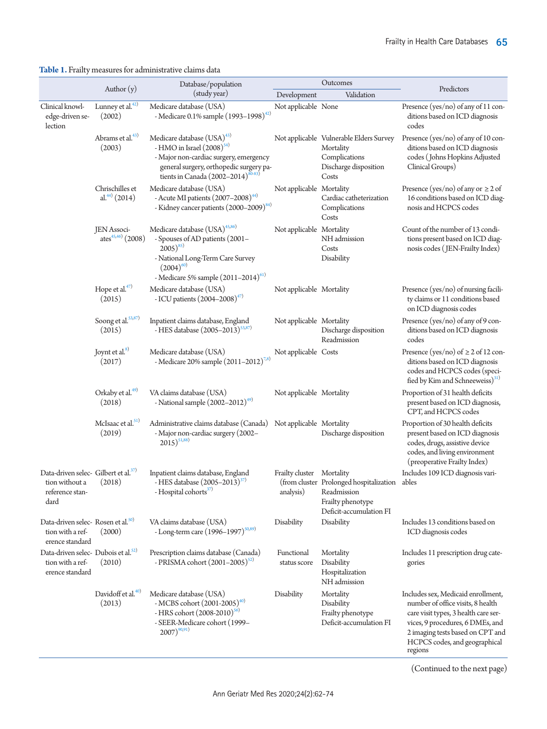## <span id="page-3-0"></span>**Table 1.** Frailty measures for administrative claims data

|                                                                                               |                                              | Database/population                                                                                                                                                                                        |                                        | Outcomes                                                                                                | Predictors                                                                                                                                                                                                                          |  |  |
|-----------------------------------------------------------------------------------------------|----------------------------------------------|------------------------------------------------------------------------------------------------------------------------------------------------------------------------------------------------------------|----------------------------------------|---------------------------------------------------------------------------------------------------------|-------------------------------------------------------------------------------------------------------------------------------------------------------------------------------------------------------------------------------------|--|--|
|                                                                                               | Author $(y)$                                 | (study year)                                                                                                                                                                                               | Development                            | Validation                                                                                              |                                                                                                                                                                                                                                     |  |  |
| Clinical knowl-<br>edge-driven se-<br>lection                                                 | Lunney et al. <sup>42)</sup><br>(2002)       | Medicare database (USA)<br>- Medicare 0.1% sample (1993-1998) <sup>42)</sup>                                                                                                                               | Not applicable None                    |                                                                                                         | Presence (yes/no) of any of 11 con-<br>ditions based on ICD diagnosis<br>codes                                                                                                                                                      |  |  |
|                                                                                               | Abrams et al. <sup>43)</sup><br>(2003)       | Medicare database (USA) <sup>43)</sup><br>- HMO in Israel $(2008)^{54}$<br>- Major non-cardiac surgery, emergency<br>general surgery, orthopedic surgery pa-<br>tients in Canada $(2002 - 2014)^{80 - 83}$ |                                        | Not applicable Vulnerable Elders Survey<br>Mortality<br>Complications<br>Discharge disposition<br>Costs | Presence (yes/no) of any of 10 con-<br>ditions based on ICD diagnosis<br>codes (Johns Hopkins Adjusted<br>Clinical Groups)                                                                                                          |  |  |
|                                                                                               | Chrischilles et<br>al. <sup>44)</sup> (2014) | Medicare database (USA)<br>- Acute MI patients $(2007-2008)^{44}$<br>- Kidney cancer patients (2000-2009) <sup>84)</sup>                                                                                   | Not applicable Mortality               | Cardiac catheterization<br>Complications<br>Costs                                                       | Presence (yes/no) of any or $\geq 2$ of<br>16 conditions based on ICD diag-<br>nosis and HCPCS codes                                                                                                                                |  |  |
|                                                                                               | JEN Associ-<br>ates $45,46)$ (2008)          | Medicare database (USA) <sup>45,86</sup><br>- Spouses of AD patients (2001-<br>$(2005)^{85}$<br>- National Long-Term Care Survey<br>$(2004)^{60}$<br>- Medicare 5% sample $(2011-2014)^{61}$               | Not applicable Mortality               | NH admission<br>Costs<br>Disability                                                                     | Count of the number of 13 condi-<br>tions present based on ICD diag-<br>nosis codes (JEN-Frailty Index)                                                                                                                             |  |  |
|                                                                                               | Hope et al. $47)$<br>(2015)                  | Medicare database (USA)<br>- ICU patients $(2004 - 2008)^{47}$                                                                                                                                             | Not applicable Mortality               |                                                                                                         | Presence (yes/no) of nursing facili-<br>ty claims or 11 conditions based<br>on ICD diagnosis codes                                                                                                                                  |  |  |
|                                                                                               | Soong et al. <sup>53,87</sup><br>(2015)      | Inpatient claims database, England<br>- HES database (2005-2013) <sup>53,87)</sup>                                                                                                                         | Not applicable Mortality               | Discharge disposition<br>Readmission                                                                    | Presence (yes/no) of any of 9 con-<br>ditions based on ICD diagnosis<br>codes                                                                                                                                                       |  |  |
|                                                                                               | Joynt et al. <sup>8)</sup><br>(2017)         | Medicare database (USA)<br>- Medicare 20% sample $(2011-2012)^{7,8)}$                                                                                                                                      | Not applicable Costs                   |                                                                                                         | Presence (yes/no) of $\geq 2$ of 12 con-<br>ditions based on ICD diagnosis<br>codes and HCPCS codes (speci-<br>fied by Kim and Schneeweiss) <sup>31)</sup>                                                                          |  |  |
|                                                                                               | Orkaby et al. <sup>49)</sup><br>(2018)       | VA claims database (USA)<br>- National sample $(2002 - 2012)^{49}$                                                                                                                                         | Not applicable Mortality               |                                                                                                         | Proportion of 31 health deficits<br>present based on ICD diagnosis,<br>CPT, and HCPCS codes                                                                                                                                         |  |  |
|                                                                                               | McIsaac et al. <sup>51)</sup><br>(2019)      | Administrative claims database (Canada)<br>- Major non-cardiac surgery (2002–<br>$(2015)^{51,88}$                                                                                                          | Not applicable Mortality               | Discharge disposition                                                                                   | Proportion of 30 health deficits<br>present based on ICD diagnosis<br>codes, drugs, assistive device<br>codes, and living environment<br>(preoperative Frailty Index)                                                               |  |  |
| Data-driven selec- Gilbert et al. <sup>37)</sup><br>tion without a<br>reference stan-<br>dard | (2018)                                       | Inpatient claims database, England<br>- HES database (2005-2013) <sup>37)</sup><br>- Hospital cohorts <sup>57)</sup>                                                                                       | Frailty cluster Mortality<br>analysis) | (from cluster Prolonged hospitalization<br>Readmission<br>Frailty phenotype<br>Deficit-accumulation FI  | Includes 109 ICD diagnosis vari-<br>ables                                                                                                                                                                                           |  |  |
| Data-driven selec-Rosen et al. <sup>50)</sup><br>tion with a ref-<br>erence standard          | (2000)                                       | VA claims database (USA)<br>- Long-term care $(1996 - 1997)^{50,89}$                                                                                                                                       | Disability                             | Disability                                                                                              | Includes 13 conditions based on<br>ICD diagnosis codes                                                                                                                                                                              |  |  |
| Data-driven selec-Dubois et al. <sup>52)</sup><br>tion with a ref-<br>erence standard         | (2010)                                       | Prescription claims database (Canada)<br>- PRISMA cohort (2001–2005) <sup>52)</sup>                                                                                                                        | Functional<br>status score             | Mortality<br>Disability<br>Hospitalization<br>NH admission                                              | Includes 11 prescription drug cate-<br>gories                                                                                                                                                                                       |  |  |
|                                                                                               | Davidoff et al. <sup>40)</sup><br>(2013)     | Medicare database (USA)<br>- MCBS cohort (2001-2005) <sup>40)</sup><br>- HRS cohort (2008-2010) <sup>56)</sup><br>- SEER-Medicare cohort (1999–<br>$2007)^{90,91}$                                         | Disability                             | Mortality<br>Disability<br>Frailty phenotype<br>Deficit-accumulation FI                                 | Includes sex, Medicaid enrollment,<br>number of office visits, 8 health<br>care visit types, 3 health care ser-<br>vices, 9 procedures, 6 DMEs, and<br>2 imaging tests based on CPT and<br>HCPCS codes, and geographical<br>regions |  |  |

(Continued to the next page)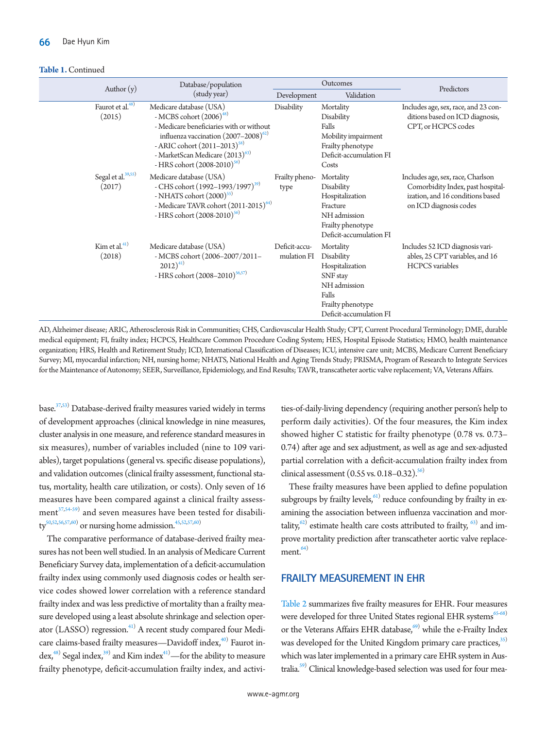#### **Table 1.** Continued

|                                          | Database/population                                                                                                                                                                                                                                                  |                              | Outcomes                                                                                                                        | Predictors                                                                                                                           |  |  |
|------------------------------------------|----------------------------------------------------------------------------------------------------------------------------------------------------------------------------------------------------------------------------------------------------------------------|------------------------------|---------------------------------------------------------------------------------------------------------------------------------|--------------------------------------------------------------------------------------------------------------------------------------|--|--|
| Author $(y)$                             | (study year)                                                                                                                                                                                                                                                         | Development                  | Validation                                                                                                                      |                                                                                                                                      |  |  |
| Faurot et al. <sup>48)</sup><br>(2015)   | Medicare database (USA)<br>- MCBS cohort $(2006)^{48}$<br>- Medicare beneficiaries with or without<br>influenza vaccination $(2007-2008)^{62}$<br>- ARIC cohort $(2011-2013)^{58}$<br>- MarketScan Medicare (2013) <sup>63)</sup><br>- HRS cohort $(2008-2010)^{56}$ | Disability                   | Mortality<br>Disability<br>Falls<br>Mobility impairment<br>Frailty phenotype<br>Deficit-accumulation FI<br>Costs                | Includes age, sex, race, and 23 con-<br>ditions based on ICD diagnosis,<br>CPT, or HCPCS codes                                       |  |  |
| Segal et al. <sup>39,55)</sup><br>(2017) | Medicare database (USA)<br>- CHS cohort $(1992 - 1993/1997)^{39}$<br>- NHATS cohort $(2000)^{55}$<br>- Medicare TAVR cohort (2011-2015) <sup>64)</sup><br>- HRS cohort $(2008-2010)^{56}$                                                                            | Frailty pheno-<br>type       | Mortality<br>Disability<br>Hospitalization<br>Fracture<br>NH admission<br>Frailty phenotype<br>Deficit-accumulation FI          | Includes age, sex, race, Charlson<br>Comorbidity Index, past hospital-<br>ization, and 16 conditions based<br>on ICD diagnosis codes |  |  |
| Kim et al. $41)$<br>(2018)               | Medicare database (USA)<br>- MCBS cohort (2006-2007/2011-<br>$2012)^{41}$<br>- HRS cohort $(2008-2010)^{56,57}$                                                                                                                                                      | Deficit-accu-<br>mulation FI | Mortality<br>Disability<br>Hospitalization<br>SNF stay<br>NH admission<br>Falls<br>Frailty phenotype<br>Deficit-accumulation FI | Includes 52 ICD diagnosis vari-<br>ables, 25 CPT variables, and 16<br><b>HCPCS</b> variables                                         |  |  |

AD, Alzheimer disease; ARIC, Atherosclerosis Risk in Communities; CHS, Cardiovascular Health Study; CPT, Current Procedural Terminology; DME, durable medical equipment; FI, frailty index; HCPCS, Healthcare Common Procedure Coding System; HES, Hospital Episode Statistics; HMO, health maintenance organization; HRS, Health and Retirement Study; ICD, International Classification of Diseases; ICU, intensive care unit; MCBS, Medicare Current Beneficiary Survey; MI, myocardial infarction; NH, nursing home; NHATS, National Health and Aging Trends Study; PRISMA, Program of Research to Integrate Services for the Maintenance of Autonomy; SEER, Surveillance, Epidemiology, and End Results; TAVR, transcatheter aortic valve replacement; VA, Veterans Affairs.

base.<sup>3[7,53](#page-10-15))</sup> Database-derived frailty measures varied widely in terms of development approaches (clinical knowledge in nine measures, cluster analysis in one measure, and reference standard measures in six measures), number of variables included (nine to 109 variables), target populations (general vs. specific disease populations), and validation outcomes (clinical frailty assessment, functional status, mortality, health care utilization, or costs). Only seven of 16 measures have been compared against a clinical frailty assess- $\mathrm{ment}^{37,54\text{-}59)}$  $\mathrm{ment}^{37,54\text{-}59)}$  $\mathrm{ment}^{37,54\text{-}59)}$  and seven measures have been tested for disability $\rm{^{50,52,56,57,60}}$  $\rm{^{50,52,56,57,60}}$  $\rm{^{50,52,56,57,60}}$  $\rm{^{50,52,56,57,60}}$  $\rm{^{50,52,56,57,60}}$  $\rm{^{50,52,56,57,60}}$  or nursing home admission. $\rm{^{45,52,57,60}}}$  $\rm{^{45,52,57,60}}}$  $\rm{^{45,52,57,60}}}$  $\rm{^{45,52,57,60}}}$  $\rm{^{45,52,57,60}}}$ 

The comparative performance of database-derived frailty measures has not been well studied. In an analysis of Medicare Current Beneficiary Survey data, implementation of a deficit-accumulation frailty index using commonly used diagnosis codes or health service codes showed lower correlation with a reference standard frailty index and was less predictive of mortality than a frailty measure developed using a least absolute shrinkage and selection operator (LASSO) regression.<sup>41)</sup> A recent study compared four Medicare claims-based frailty measures—Davidoff index, $^{40)}$  Faurot index,<sup>48)</sup> Segal index,<sup>39)</sup> and Kim index<sup>41)</sup>—for the ability to measure frailty phenotype, deficit-accumulation frailty index, and activi-

ties-of-daily-living dependency (requiring another person's help to perform daily activities). Of the four measures, the Kim index showed higher C statistic for frailty phenotype (0.78 vs. 0.73– 0.74) after age and sex adjustment, as well as age and sex-adjusted partial correlation with a deficit-accumulation frailty index from clinical assessment  $(0.55 \text{ vs. } 0.18 - 0.32).$ <sup>56)</sup>

These frailty measures have been applied to define population subgroups by frailty levels,  $61$ ) reduce confounding by frailty in examining the association between influenza vaccination and mortality,<sup>62)</sup> estimate health care costs attributed to frailty,  $63$  and improve mortality prediction after transcatheter aortic valve replace- $ment.<sup>64</sup>$  $ment.<sup>64</sup>$  $ment.<sup>64</sup>$ 

## **FRAILTY MEASUREMENT IN EHR**

[Table 2](#page-5-0) summarizes five frailty measures for EHR. Four measures were developed for three United States regional EHR systems $65-68$  $65-68$ or the Veterans Affairs EHR database, $69$  while the e-Frailty Index was developed for the United Kingdom primary care practices,<sup>35)</sup> which was later implemented in a primary care EHR system in Australia.<sup>59)</sup> Clinical knowledge-based selection was used for four mea-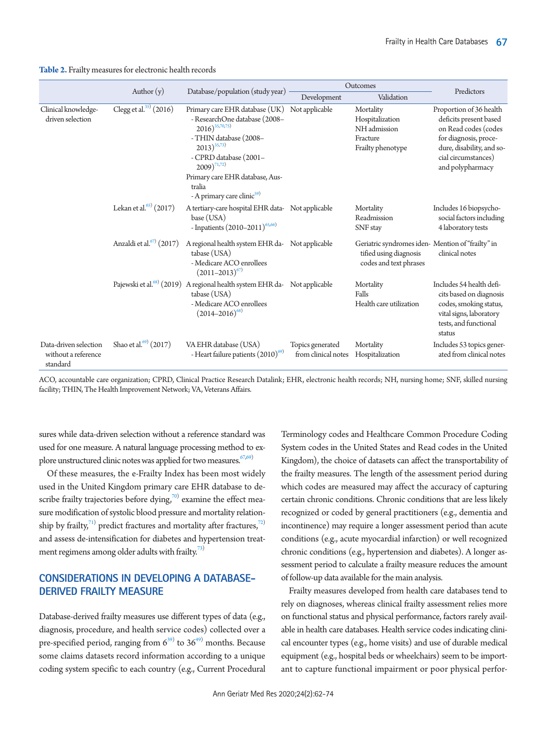<span id="page-5-0"></span>

|                                                          |                                      |                                                                                                                                                                                                                                                                         | Outcomes                                | Predictors                                                                                           |                                                                                                                                                                            |  |
|----------------------------------------------------------|--------------------------------------|-------------------------------------------------------------------------------------------------------------------------------------------------------------------------------------------------------------------------------------------------------------------------|-----------------------------------------|------------------------------------------------------------------------------------------------------|----------------------------------------------------------------------------------------------------------------------------------------------------------------------------|--|
|                                                          | Author $(y)$                         | Database/population (study year)                                                                                                                                                                                                                                        | Development                             | Validation                                                                                           |                                                                                                                                                                            |  |
| Clinical knowledge-<br>driven selection                  | Clegg et al. $35)$ (2016)            | Primary care EHR database (UK)<br>- ResearchOne database (2008-<br>$2016)^{35,70,75}$<br>- THIN database (2008-<br>$(2013)^{35,73}$<br>- CPRD database (2001–<br>$2009)^{71,72}$<br>Primary care EHR database, Aus-<br>tralia<br>- A primary care clinic <sup>59)</sup> | Not applicable                          | Mortality<br>Hospitalization<br>NH admission<br>Fracture<br>Frailty phenotype                        | Proportion of 36 health<br>deficits present based<br>on Read codes (codes<br>for diagnosis, proce-<br>dure, disability, and so-<br>cial circumstances)<br>and polypharmacy |  |
|                                                          | Lekan et al. $(2017)$                | A tertiary-care hospital EHR data- Not applicable<br>base (USA)<br>- Inpatients $(2010-2011)^{65,66}$                                                                                                                                                                   |                                         | Mortality<br>Readmission<br>SNF stay                                                                 | Includes 16 biopsycho-<br>social factors including<br>4 laboratory tests                                                                                                   |  |
|                                                          | Anzaldi et al. <sup>67)</sup> (2017) | A regional health system EHR da- Not applicable<br>tabase (USA)<br>- Medicare ACO enrollees<br>$(2011-2013)^{67}$                                                                                                                                                       |                                         | Geriatric syndromes iden-Mention of "frailty" in<br>tified using diagnosis<br>codes and text phrases | clinical notes                                                                                                                                                             |  |
|                                                          |                                      | Pajewski et al. <sup>68)</sup> (2019) A regional health system EHR da- Not applicable<br>tabase (USA)<br>- Medicare ACO enrollees<br>$(2014 - 2016)^{68}$                                                                                                               |                                         | Mortality<br>Falls<br>Health care utilization                                                        | Includes 54 health defi-<br>cits based on diagnosis<br>codes, smoking status,<br>vital signs, laboratory<br>tests, and functional<br>status                                |  |
| Data-driven selection<br>without a reference<br>standard | Shao et al. $^{(9)}$ (2017)          | VA EHR database (USA)<br>- Heart failure patients (2010) <sup>69)</sup>                                                                                                                                                                                                 | Topics generated<br>from clinical notes | Mortality<br>Hospitalization                                                                         | Includes 53 topics gener-<br>ated from clinical notes                                                                                                                      |  |

ACO, accountable care organization; CPRD, Clinical Practice Research Datalink; EHR, electronic health records; NH, nursing home; SNF, skilled nursing facility; THIN, The Health Improvement Network; VA, Veterans Affairs.

sures while data-driven selection without a reference standard was used for one measure. A natural language processing method to explore unstructured clinic notes was applied for two measures.  $67,69$  $67,69$ )

Of these measures, the e-Frailty Index has been most widely used in the United Kingdom primary care EHR database to describe frailty trajectories before dying, $\bar{z}^{(0)}$  examine the effect measure modification of systolic blood pressure and mortality relationship by frailty, $^{71)}$  predict fractures and mortality after fractures, $^{72)}$ and assess de-intensification for diabetes and hypertension treatment regimens among older adults with frailty. $73$ )

# **CONSIDERATIONS IN DEVELOPING A DATABASE-DERIVED FRAILTY MEASURE**

Database-derived frailty measures use different types of data (e.g., diagnosis, procedure, and health service codes) collected over a pre-specified period, ranging from  $6^{39}$  to  $36^{49}$  months. Because some claims datasets record information according to a unique coding system specific to each country (e.g., Current Procedural

Terminology codes and Healthcare Common Procedure Coding System codes in the United States and Read codes in the United Kingdom), the choice of datasets can affect the transportability of the frailty measures. The length of the assessment period during which codes are measured may affect the accuracy of capturing certain chronic conditions. Chronic conditions that are less likely recognized or coded by general practitioners (e.g., dementia and incontinence) may require a longer assessment period than acute conditions (e.g., acute myocardial infarction) or well recognized chronic conditions (e.g., hypertension and diabetes). A longer assessment period to calculate a frailty measure reduces the amount of follow-up data available for the main analysis.

Frailty measures developed from health care databases tend to rely on diagnoses, whereas clinical frailty assessment relies more on functional status and physical performance, factors rarely available in health care databases. Health service codes indicating clinical encounter types (e.g., home visits) and use of durable medical equipment (e.g., hospital beds or wheelchairs) seem to be important to capture functional impairment or poor physical perfor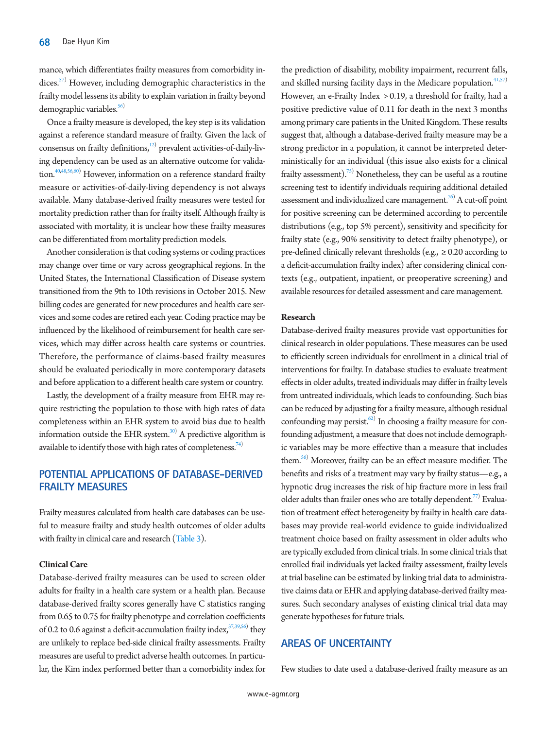mance, which differentiates frailty measures from comorbidity indices.<sup>57)</sup> However, including demographic characteristics in the frailty model lessens its ability to explain variation in frailty beyond demographic variables.<sup>56)</sup>

Once a frailty measure is developed, the key step is its validation against a reference standard measure of frailty. Given the lack of consensus on frailty definitions,<sup>12</sup> prevalent activities-of-daily-living dependency can be used as an alternative outcome for validation.<sup>40,48,56,60)</sup> However, information on a reference standard frailty measure or activities-of-daily-living dependency is not always available. Many database-derived frailty measures were tested for mortality prediction rather than for frailty itself. Although frailty is associated with mortality, it is unclear how these frailty measures can be differentiated from mortality prediction models.

Another consideration is that coding systems or coding practices may change over time or vary across geographical regions. In the United States, the International Classification of Disease system transitioned from the 9th to 10th revisions in October 2015. New billing codes are generated for new procedures and health care services and some codes are retired each year. Coding practice may be influenced by the likelihood of reimbursement for health care services, which may differ across health care systems or countries. Therefore, the performance of claims-based frailty measures should be evaluated periodically in more contemporary datasets and before application to a different health care system or country.

Lastly, the development of a frailty measure from EHR may require restricting the population to those with high rates of data completeness within an EHR system to avoid bias due to health information outside the EHR system. $^{30)}$  A predictive algorithm is available to identify those with high rates of completeness.<sup>74)</sup>

## **POTENTIAL APPLICATIONS OF DATABASE-DERIVED FRAILTY MEASURES**

Frailty measures calculated from health care databases can be useful to measure frailty and study health outcomes of older adults with frailty in clinical care and research [\(Table 3\)](#page-7-0).

#### **Clinical Care**

Database-derived frailty measures can be used to screen older adults for frailty in a health care system or a health plan. Because database-derived frailty scores generally have C statistics ranging from 0.65 to 0.75 for frailty phenotype and correlation coefficients of 0.2 to 0.6 against a deficit-accumulation frailty index,  $37,39,56$ ) they are unlikely to replace bed-side clinical frailty assessments. Frailty measures are useful to predict adverse health outcomes. In particular, the Kim index performed better than a comorbidity index for

the prediction of disability, mobility impairment, recurrent falls, and skilled nursing facility days in the Medicare population.<sup>41,57)</sup> However, an e-Frailty Index > 0.19, a threshold for frailty, had a positive predictive value of 0.11 for death in the next 3 months among primary care patients in the United Kingdom. These results suggest that, although a database-derived frailty measure may be a strong predictor in a population, it cannot be interpreted deterministically for an individual (this issue also exists for a clinical frailty assessment).<sup>75)</sup> Nonetheless, they can be useful as a routine screening test to identify individuals requiring additional detailed assessment and individualized care management.<sup>76</sup> A cut-off point for positive screening can be determined according to percentile distributions (e.g., top 5% percent), sensitivity and specificity for frailty state (e.g., 90% sensitivity to detect frailty phenotype), or pre-defined clinically relevant thresholds (e.g.,  $\geq$  0.20 according to a deficit-accumulation frailty index) after considering clinical contexts (e.g., outpatient, inpatient, or preoperative screening) and available resources for detailed assessment and care management.

#### **Research**

Database-derived frailty measures provide vast opportunities for clinical research in older populations. These measures can be used to efficiently screen individuals for enrollment in a clinical trial of interventions for frailty. In database studies to evaluate treatment effects in older adults, treated individuals may differ in frailty levels from untreated individuals, which leads to confounding. Such bias can be reduced by adjusting for a frailty measure, although residual confounding may persist.<sup>62)</sup> In choosing a frailty measure for confounding adjustment, a measure that does not include demographic variables may be more effective than a measure that includes them.<sup>56)</sup> Moreover, frailty can be an effect measure modifier. The benefits and risks of a treatment may vary by frailty status—e.g., a hypnotic drug increases the risk of hip fracture more in less frail older adults than frailer ones who are totally dependent.<sup>77)</sup> Evaluation of treatment effect heterogeneity by frailty in health care databases may provide real-world evidence to guide individualized treatment choice based on frailty assessment in older adults who are typically excluded from clinical trials. In some clinical trials that enrolled frail individuals yet lacked frailty assessment, frailty levels at trial baseline can be estimated by linking trial data to administrative claims data or EHR and applying database-derived frailty measures. Such secondary analyses of existing clinical trial data may generate hypotheses for future trials.

## **AREAS OF UNCERTAINTY**

Few studies to date used a database-derived frailty measure as an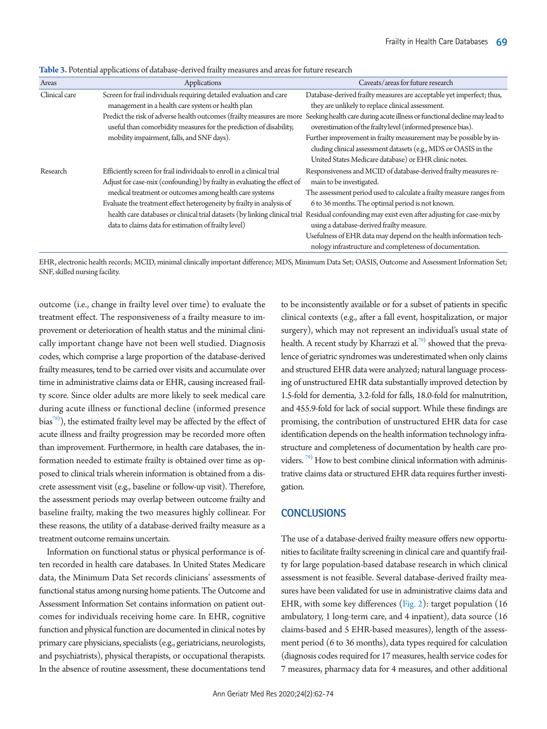| Areas         | Applications                                                                | Caveats/areas for future research                                          |
|---------------|-----------------------------------------------------------------------------|----------------------------------------------------------------------------|
| Clinical care | Screen for frail individuals requiring detailed evaluation and care         | Database-derived frailty measures are acceptable yet imperfect; thus,      |
|               | management in a health care system or health plan                           | they are unlikely to replace clinical assessment.                          |
|               | Predict the risk of adverse health outcomes (frailty measures are more      | Seeking health care during acute illness or functional decline may lead to |
|               | useful than comorbidity measures for the prediction of disability,          | overestimation of the frailty level (informed presence bias).              |
|               | mobility impairment, falls, and SNF days).                                  | Further improvement in frailty measurement may be possible by in-          |
|               |                                                                             | cluding clinical assessment datasets (e.g., MDS or OASIS in the            |
|               |                                                                             | United States Medicare database) or EHR clinic notes.                      |
| Research      | Efficiently screen for frail individuals to enroll in a clinical trial      | Responsiveness and MCID of database-derived frailty measures re-           |
|               | Adjust for case-mix (confounding) by frailty in evaluating the effect of    | main to be investigated.                                                   |
|               | medical treatment or outcomes among health care systems                     | The assessment period used to calculate a frailty measure ranges from      |
|               | Evaluate the treatment effect heterogeneity by frailty in analysis of       | 6 to 36 months. The optimal period is not known.                           |
|               | health care databases or clinical trial datasets (by linking clinical trial | Residual confounding may exist even after adjusting for case-mix by        |
|               | data to claims data for estimation of frailty level)                        | using a database-derived frailty measure.                                  |
|               |                                                                             | Usefulness of EHR data may depend on the health information tech-          |
|               |                                                                             | nology infrastructure and completeness of documentation.                   |
|               |                                                                             |                                                                            |

<span id="page-7-0"></span>**Table 3.** Potential applications of database-derived frailty measures and areas for future research

EHR, electronic health records; MCID, minimal clinically important difference; MDS, Minimum Data Set; OASIS, Outcome and Assessment Information Set; SNF, skilled nursing facility.

outcome (i.e., change in frailty level over time) to evaluate the treatment effect. The responsiveness of a frailty measure to improvement or deterioration of health status and the minimal clinically important change have not been well studied. Diagnosis codes, which comprise a large proportion of the database-derived frailty measures, tend to be carried over visits and accumulate over time in administrative claims data or EHR, causing increased frailty score. Since older adults are more likely to seek medical care during acute illness or functional decline (informed presence bias $^{78)}$ ), the estimated frailty level may be affected by the effect of acute illness and frailty progression may be recorded more often than improvement. Furthermore, in health care databases, the information needed to estimate frailty is obtained over time as opposed to clinical trials wherein information is obtained from a discrete assessment visit (e.g., baseline or follow-up visit). Therefore, the assessment periods may overlap between outcome frailty and baseline frailty, making the two measures highly collinear. For these reasons, the utility of a database-derived frailty measure as a treatment outcome remains uncertain.

Information on functional status or physical performance is often recorded in health care databases. In United States Medicare data, the Minimum Data Set records clinicians' assessments of functional status among nursing home patients. The Outcome and Assessment Information Set contains information on patient outcomes for individuals receiving home care. In EHR, cognitive function and physical function are documented in clinical notes by primary care physicians, specialists (e.g., geriatricians, neurologists, and psychiatrists), physical therapists, or occupational therapists. In the absence of routine assessment, these documentations tend

to be inconsistently available or for a subset of patients in specific clinical contexts (e.g., after a fall event, hospitalization, or major surgery), which may not represent an individual's usual state of health. A recent study by Kharrazi et al.<sup>[79](#page-11-17))</sup> showed that the prevalence of geriatric syndromes was underestimated when only claims and structured EHR data were analyzed; natural language processing of unstructured EHR data substantially improved detection by 1.5-fold for dementia, 3.2-fold for falls, 18.0-fold for malnutrition, and 455.9-fold for lack of social support. While these findings are promising, the contribution of unstructured EHR data for case identification depends on the health information technology infrastructure and completeness of documentation by health care pro-viders.<sup>[79](#page-11-17))</sup> How to best combine clinical information with administrative claims data or structured EHR data requires further investigation.

## **CONCLUSIONS**

The use of a database-derived frailty measure offers new opportunities to facilitate frailty screening in clinical care and quantify frailty for large population-based database research in which clinical assessment is not feasible. Several database-derived frailty measures have been validated for use in administrative claims data and EHR, with some key differences [\(Fig.](#page-8-7) [2](#page-8-7)): target population (16 ambulatory, 1 long-term care, and 4 inpatient), data source (16 claims-based and 5 EHR-based measures), length of the assessment period (6 to 36 months), data types required for calculation (diagnosis codes required for 17 measures, health service codes for 7 measures, pharmacy data for 4 measures, and other additional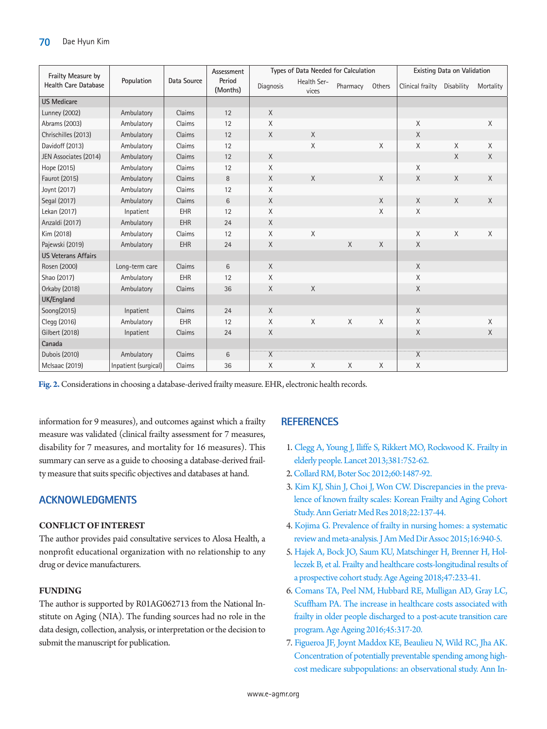<span id="page-8-7"></span>

| Frailty Measure by          | Population           | Data Source | Assessment         | Types of Data Needed for Calculation |                      |          |          | Existing Data on Validation |          |           |
|-----------------------------|----------------------|-------------|--------------------|--------------------------------------|----------------------|----------|----------|-----------------------------|----------|-----------|
| <b>Health Care Database</b> |                      |             | Period<br>(Months) | Diagnosis                            | Health Ser-<br>vices | Pharmacy | Others   | Clinical frailty Disability |          | Mortality |
| <b>US Medicare</b>          |                      |             |                    |                                      |                      |          |          |                             |          |           |
| <b>Lunney (2002)</b>        | Ambulatory           | Claims      | 12                 | X                                    |                      |          |          |                             |          |           |
| Abrams (2003)               | Ambulatory           | Claims      | 12                 | X                                    |                      |          |          | X                           |          | X         |
| Chrischilles (2013)         | Ambulatory           | Claims      | 12                 | X                                    | $\times$             |          |          | X                           |          |           |
| Davidoff (2013)             | Ambulatory           | Claims      | 12                 |                                      | $\times$             |          | $\times$ | X                           | $\times$ | X         |
| JEN Associates (2014)       | Ambulatory           | Claims      | 12                 | $\chi$                               |                      |          |          |                             | $\times$ | X         |
| Hope (2015)                 | Ambulatory           | Claims      | 12                 | X                                    |                      |          |          | X                           |          |           |
| Faurot (2015)               | Ambulatory           | Claims      | 8                  | X                                    | $\times$             |          | $\times$ | X                           | $\times$ | X         |
| Joynt (2017)                | Ambulatory           | Claims      | 12                 | X                                    |                      |          |          |                             |          |           |
| Segal (2017)                | Ambulatory           | Claims      | 6                  | X                                    |                      |          | $\times$ | X                           | $\times$ | X         |
| Lekan (2017)                | Inpatient            | EHR         | 12                 | X                                    |                      |          | $\times$ | X                           |          |           |
| Anzaldi (2017)              | Ambulatory           | EHR         | 24                 | $\mathsf{X}$                         |                      |          |          |                             |          |           |
| Kim (2018)                  | Ambulatory           | Claims      | 12                 | X                                    | $\mathsf X$          |          |          | Χ                           | Χ        | X         |
| Pajewski (2019)             | Ambulatory           | <b>EHR</b>  | 24                 | X                                    |                      | $\times$ | $\times$ | X                           |          |           |
| <b>US Veterans Affairs</b>  |                      |             |                    |                                      |                      |          |          |                             |          |           |
| Rosen (2000)                | Long-term care       | Claims      | 6                  | X                                    |                      |          |          | X                           |          |           |
| Shao (2017)                 | Ambulatory           | EHR         | 12                 | X                                    |                      |          |          | X                           |          |           |
| Orkaby (2018)               | Ambulatory           | Claims      | 36                 | X                                    | $\times$             |          |          | X                           |          |           |
| UK/England                  |                      |             |                    |                                      |                      |          |          |                             |          |           |
| Soong(2015)                 | Inpatient            | Claims      | 24                 | $\chi$                               |                      |          |          | X                           |          |           |
| Clegg (2016)                | Ambulatory           | EHR         | 12                 | X                                    | X                    | $\times$ | $\times$ | X                           |          | $\chi$    |
| Gilbert (2018)              | Inpatient            | Claims      | 24                 | X                                    |                      |          |          | X                           |          | X         |
| Canada                      |                      |             |                    |                                      |                      |          |          |                             |          |           |
| <b>Dubois (2010)</b>        | Ambulatory           | Claims      | 6                  | $\overline{X}$                       |                      |          |          | $\overline{X}$              |          |           |
| <b>McIsaac (2019)</b>       | Inpatient (surgical) | Claims      | 36                 | Χ                                    | X                    | X        | Χ        | Χ                           |          |           |

**Fig. 2.** Considerations in choosing a database-derived frailty measure. EHR, electronic health records.

information for 9 measures), and outcomes against which a frailty measure was validated (clinical frailty assessment for 7 measures, disability for 7 measures, and mortality for 16 measures). This summary can serve as a guide to choosing a database-derived frailty measure that suits specific objectives and databases at hand.

# **ACKNOWLEDGMENTS**

## **CONFLICT OF INTEREST**

The author provides paid consultative services to Alosa Health, a nonprofit educational organization with no relationship to any drug or device manufacturers.

## **FUNDING**

The author is supported by R01AG062713 from the National Institute on Aging (NIA). The funding sources had no role in the data design, collection, analysis, or interpretation or the decision to submit the manuscript for publication.

## **REFERENCES**

- <span id="page-8-0"></span>1. [Clegg A, Young J, Iliffe S, Rikkert MO, Rockwood K. Frailty in](https://doi.org/10.1016/S0140-6736(12)62167-9)  [elderly people. Lancet 2013;381:752-62.](https://doi.org/10.1016/S0140-6736(12)62167-9)
- <span id="page-8-1"></span>[2. Collard RM, Boter Soc 2012;60:1487-92.](https://doi.org/10.1111/j.1532-5415.2012.04054.x)
- <span id="page-8-2"></span>3[. Kim KJ, Shin J, Choi J, Won CW. Discrepancies in the preva](https://doi.org/10.4235/agmr.2018.22.3.137)[lence of known frailty scales: Korean Frailty and Aging Cohort](https://doi.org/10.4235/agmr.2018.22.3.137)  [Study. Ann Geriatr Med Res 2018;22:137-44.](https://doi.org/10.4235/agmr.2018.22.3.137)
- <span id="page-8-3"></span>4. Kojima G. P[revalence of frailty in nursing homes: a systematic](https://doi.org/10.1016/j.jamda.2015.06.025)  [review and meta-analysis. J Am Med Dir Assoc 2015;16:940-5.](https://doi.org/10.1016/j.jamda.2015.06.025)
- <span id="page-8-4"></span>5[. Hajek A, Bock JO, Saum KU, Matschinger H, Brenner H, Hol](https://doi.org/10.1093/ageing/afx157)[leczek B, et al. Frailty and healthcare costs-longitudinal results of](https://doi.org/10.1093/ageing/afx157)  [a prospective cohort study. Age Ageing 2018;47:233-41](https://doi.org/10.1093/ageing/afx157).
- <span id="page-8-5"></span>6[. Comans TA, Peel NM, Hubbard RE, Mulligan AD, Gray LC,](https://doi.org/10.1093/ageing/afv196)  [Scuffham PA. The increase in healthcare costs associated with](https://doi.org/10.1093/ageing/afv196)  [frailty in older people discharged to a post-acute transition care](https://doi.org/10.1093/ageing/afv196)  [program. Age Ageing 2016;45:317-20](https://doi.org/10.1093/ageing/afv196).
- <span id="page-8-6"></span>7. Fig[ueroa JF, Joynt Maddox KE, Beaulieu N, Wild RC, Jha AK.](https://doi.org/10.7326/M17-0767)  [Concentration of potentially preventable spending among high](https://doi.org/10.7326/M17-0767)[cost medicare subpopulations: an observational study. Ann In-](https://doi.org/10.7326/M17-0767)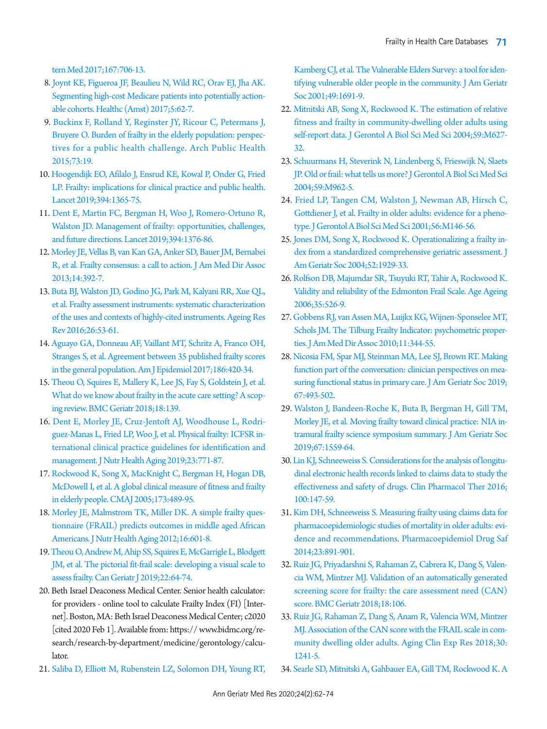[tern Med 2017;167:706-1](https://doi.org/10.7326/M17-0767)3.

- <span id="page-9-17"></span>8. [Joynt KE, Figueroa JF, Beaulieu N, Wild RC, Orav EJ, Jha AK.](https://doi.org/10.1016/j.hjdsi.2016.11.002)  [Segmenting high-cost Medicare patients into potentially action](https://doi.org/10.1016/j.hjdsi.2016.11.002)[able cohorts. Healthc \(Amst\) 2017;5:62-7.](https://doi.org/10.1016/j.hjdsi.2016.11.002)
- [9. Buckinx F, Rolland Y, Reginster JY, Ricour C, Petermans J,](https://www.ncbi.nlm.nih.gov/pubmed/25866625)  [Bruyere O. Burden of frailty in the elderly population: perspec](https://www.ncbi.nlm.nih.gov/pubmed/25866625)[tives for a public health challenge. Arch Public Health](https://www.ncbi.nlm.nih.gov/pubmed/25866625)  [2015;73:19](https://www.ncbi.nlm.nih.gov/pubmed/25866625).
- 10. [Hoogendijk EO, Afilalo J, Ensrud KE, Kowal P, Onder G, Fried](https://doi.org/10.1016/S0140-6736(19)31786-6)  [LP. Frailty: implications for clinical practice and public health.](https://doi.org/10.1016/S0140-6736(19)31786-6)  [Lancet 2019;394:1365-75.](https://doi.org/10.1016/S0140-6736(19)31786-6)
- 11. [Dent E, Martin FC, Bergman H, Woo J, Romero-Ortuno R,](https://doi.org/10.1016/S0140-6736(19)31785-4)  [Walston JD. Management of frailty: opportunities, challenges,](https://doi.org/10.1016/S0140-6736(19)31785-4)  [and future directions. Lancet 2019;394:1376-86.](https://doi.org/10.1016/S0140-6736(19)31785-4)
- <span id="page-9-1"></span><span id="page-9-0"></span>12. Morley JE, Vellas [B, van Kan GA, Anker SD, Bauer JM, Bernabei](https://doi.org/10.1016/j.jamda.2013.03.022)  [R, et al. Frailty consensus: a call to action. J Am Med Dir Assoc](https://doi.org/10.1016/j.jamda.2013.03.022)  [2013;14:392-7.](https://doi.org/10.1016/j.jamda.2013.03.022)
- 13. [Buta BJ, Walston JD, Godino JG, Park M, Kalyani RR, Xue QL,](https://doi.org/10.1016/j.arr.2015.12.003)  [et al. Frailty assessment instruments: systematic characterization](https://doi.org/10.1016/j.arr.2015.12.003)  [of the uses and contexts of highly-cited instruments. Ageing Res](https://doi.org/10.1016/j.arr.2015.12.003)  [Rev 2016;26:53-61.](https://doi.org/10.1016/j.arr.2015.12.003)
- 14. [Aguayo GA, Donneau AF, Vaillant MT, Schritz A, Franco OH,](https://doi.org/10.1093/aje/kwx061)  [Stranges S, et al. Agreement between 35 published frailty scores](https://doi.org/10.1093/aje/kwx061)  [in the general population. Am J Epidemiol 2017;186:420-34.](https://doi.org/10.1093/aje/kwx061)
- 15. [Theou O, Squires E, Mallery K, Lee JS, Fay S, Goldstein J, et al.](https://doi.org/10.1186/s12877-018-0823-2)  [What do we know about frailty in the acute care setting? A scop](https://doi.org/10.1186/s12877-018-0823-2)[ing review. BMC Geriatr 2018;18:139.](https://doi.org/10.1186/s12877-018-0823-2)
- <span id="page-9-2"></span>16. [Dent E, Morley JE, Cruz-Jentoft AJ, Woodhouse L, Rodri](https://doi.org/10.1007/s12603-019-1273-z)[guez-Manas L, Fried LP, Woo J, et al. Physical frailty: ICFSR in](https://doi.org/10.1007/s12603-019-1273-z)[ternational clinical practice guidelines for identification and](https://doi.org/10.1007/s12603-019-1273-z)  [management. J Nutr Health Aging 2019;23:771-87.](https://doi.org/10.1007/s12603-019-1273-z)
- <span id="page-9-3"></span>17. [Rockwood K, Song X, MacKnight C, Bergman H, Hogan DB,](https://doi.org/10.1503/cmaj.050051)  [McDowell I, et al. A global clinical measure of fitness and frailty](https://doi.org/10.1503/cmaj.050051)  [in elderly people. CMAJ 2005;173:489-95.](https://doi.org/10.1503/cmaj.050051)
- 1[8. Morley JE, Malmstrom TK, Miller DK. A simple frailty ques](https://doi.org/10.1007/s12603-012-0084-2)[tionnaire \(FRAIL\) predicts outcomes in middle aged African](https://doi.org/10.1007/s12603-012-0084-2)  [Americans. J Nutr Health Aging 2012;16:601-8](https://doi.org/10.1007/s12603-012-0084-2).
- <span id="page-9-4"></span>1[9. Theou O, Andrew M, Ahip SS, Squires E, McGarrigle L, Blodgett](https://doi.org/10.5770/cgj.22.357)  [JM, et al. The pictorial fit-frail scale: developing a visual scale to](https://doi.org/10.5770/cgj.22.357)  [assess frailty. Can Geriatr J 2019;22:64-74](https://doi.org/10.5770/cgj.22.357).
- <span id="page-9-8"></span><span id="page-9-5"></span>20. Beth Israel Deaconess Medical Center. Senior health calculator: for providers - online tool to calculate Frailty Index (FI) [Internet]. Boston, MA: Beth Israel Deaconess Medical Center; c2020 [cited 2020 Feb 1]. Available from: https:// w[ww.bidmc.org/re](www.bidmc.org/research/research-by-department/medicine/gerontology/calculator.)[search/research-by-department/medicine/gerontology/calcu](www.bidmc.org/research/research-by-department/medicine/gerontology/calculator.)[lator.](www.bidmc.org/research/research-by-department/medicine/gerontology/calculator.)
- <span id="page-9-6"></span>2[1. Saliba D, Elliott M, Rubenstein LZ, Solomon DH, Young RT,](https://doi.org/10.1046/j.1532-5415.2001.49281.x)

[Kamberg CJ, et al. The Vulnerable Elders Survey: a tool for iden](https://doi.org/10.1046/j.1532-5415.2001.49281.x)[tifying vulnerable older people in the community. J Am Geriatr](https://doi.org/10.1046/j.1532-5415.2001.49281.x)  [Soc 2001;49:1691-9.](https://doi.org/10.1046/j.1532-5415.2001.49281.x)

- 22. [Mitnitski AB, Song X, Rockwood K. The estimation of relative](https://doi.org/10.1093/gerona/59.6.M627)  [fitness and frailty in community-dwelling older adults using](https://doi.org/10.1093/gerona/59.6.M627)  [self-report data. J Gerontol A Biol Sci Med Sci 2004;59:M627-](https://doi.org/10.1093/gerona/59.6.M627) [32.](https://doi.org/10.1093/gerona/59.6.M627)
- <span id="page-9-7"></span>23. Schuurmans H, St[everink N, Lindenberg S, Frieswijk N, Slaets](https://doi.org/10.1093/gerona/59.9.M962)  [JP. Old or frail: what tells us more? J Gerontol A Biol Sci Med Sci](https://doi.org/10.1093/gerona/59.9.M962)  [2004;59:M962-5.](https://doi.org/10.1093/gerona/59.9.M962)
- 24. [Fried LP, Tangen CM, Walston J, Newman AB, Hirsch C,](https://doi.org/10.1093/gerona/56.3.M146)  [Gottdiener J, et al. Frailty in older adults: evidence for a pheno](https://doi.org/10.1093/gerona/56.3.M146)[type. J Gerontol A Biol Sci Med Sci 2001;56:M146-56.](https://doi.org/10.1093/gerona/56.3.M146)
- 25. [Jones DM, Song X, Rockwood K. Operationalizing a frailty in](https://doi.org/10.1111/j.1532-5415.2004.52521.x)[dex from a standardized comprehensive geriatric assessment. J](https://doi.org/10.1111/j.1532-5415.2004.52521.x)  [Am Geriatr Soc 2004;52:1929-33.](https://doi.org/10.1111/j.1532-5415.2004.52521.x)
- <span id="page-9-11"></span>26[. Rolfson DB, Majumdar SR, Tsuyuki RT, Tahir A, Rockwood K.](https://doi.org/10.1093/ageing/afl041)  [Validity and reliability of the Edmonton Frail Scale. Age Ageing](https://doi.org/10.1093/ageing/afl041)  [2006;35:526-9.](https://doi.org/10.1093/ageing/afl041)
- <span id="page-9-12"></span>27. Gobbens RJ, van Assen MA, Luijkx [KG, Wijnen-Sponselee MT,](https://doi.org/10.1016/j.jamda.2009.11.003)  [Schols JM. The Tilburg Frailty Indicator: psychometric proper](https://doi.org/10.1016/j.jamda.2009.11.003)[ties. J Am Med Dir Assoc 2010;11:344-55.](https://doi.org/10.1016/j.jamda.2009.11.003)
- <span id="page-9-9"></span>28[. Nicosia FM, Spar MJ, Steinman MA, Lee SJ, Brown RT. Making](https://doi.org/10.1111/jgs.15677)  [function part of the conversation: clinician perspectives on mea](https://doi.org/10.1111/jgs.15677)[suring functional status in primary care. J Am Geriatr Soc 2019;](https://doi.org/10.1111/jgs.15677) [67:493-502.](https://doi.org/10.1111/jgs.15677)
- <span id="page-9-10"></span>2[9. Walston J, Bandeen-Roche K, Buta B, Bergman H, Gill TM,](https://doi.org/10.1111/jgs.15928)  [Morley JE, et al. Moving frailty toward clinical practice: NIA in](https://doi.org/10.1111/jgs.15928)[tramural frailty science symposium summary. J Am Geriatr Soc](https://doi.org/10.1111/jgs.15928)  [2019;67:1559-64](https://doi.org/10.1111/jgs.15928).
- 30. [Lin KJ, Schneeweiss S. Considerations for the analysis of longitu](https://doi.org/10.1002/cpt.359)[dinal electronic health records linked to claims data to study the](https://doi.org/10.1002/cpt.359)  [effectiveness and safety of drugs. Clin Pharmacol Ther 2016;](https://doi.org/10.1002/cpt.359) [100:147-59.](https://doi.org/10.1002/cpt.359)
- <span id="page-9-16"></span>31. Kim DH, Schn[eeweiss S. Measuring frailty using claims data for](https://doi.org/10.1002/pds.3674)  [pharmacoepidemiologic studies of mortality in older adults: evi](https://doi.org/10.1002/pds.3674)[dence and recommendations. Pharmacoepidemiol Drug Saf](https://doi.org/10.1002/pds.3674)  [2014;23:891-901](https://doi.org/10.1002/pds.3674).
- <span id="page-9-13"></span>32[. Ruiz JG, Priyadarshni S, Rahaman Z, Cabrera K, Dang S, Valen](https://doi.org/10.1186/s12877-018-0802-7)[cia WM, Mintzer MJ. Validation of an automatically generated](https://doi.org/10.1186/s12877-018-0802-7)  [screening score for frailty: the care assessment need \(CAN\)](https://doi.org/10.1186/s12877-018-0802-7)  [score. BMC Geriatr 2018;18:106](https://doi.org/10.1186/s12877-018-0802-7).
- <span id="page-9-14"></span>33. Ruiz JG, Rahaman Z, Dang S, Anam R, Valencia WM, Mintzer MJ. Association of the CAN score with the FRAIL scale in community dwelling older adults. Aging Clin Exp Res 2018;30: 1241-5.
- <span id="page-9-15"></span>34. Searle [SD, Mitnitski A, Gahbauer EA, Gill TM, Rockwood K. A](https://doi.org/10.1186/1471-2318-8-24)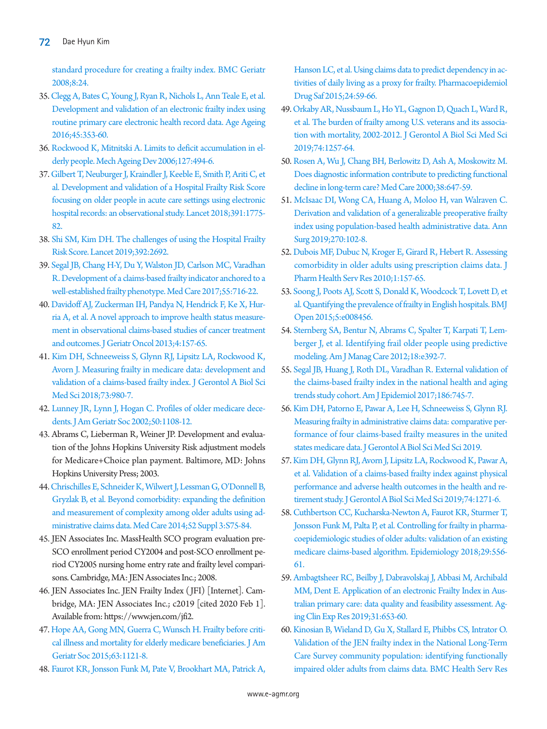[standard procedure for creating a frailty index. BMC Geriatr](https://doi.org/10.1186/1471-2318-8-24)  [2008;8:24](https://doi.org/10.1186/1471-2318-8-24).

- <span id="page-10-29"></span>35. [Clegg A, Bates C, Young J, Ryan R, Nichols L, Ann Teale E, et al.](https://doi.org/10.1093/ageing/afw039)  [Development and validation of an electronic frailty index using](https://doi.org/10.1093/ageing/afw039)  [routine primary care electronic health record data. Age Ageing](https://doi.org/10.1093/ageing/afw039)  [2016;45:353-60.](https://doi.org/10.1093/ageing/afw039)
- <span id="page-10-0"></span>36. Rockwood K, Mitnitski A. Limits to deficit accumulation in elderly people. Mech Ageing Dev 2006;127:494-6.
- <span id="page-10-17"></span><span id="page-10-2"></span>37. Gilbert T, Neuburger J, Kraindler J, Keeble E, Smith P, Ariti C, et al. Development and validation of a Hospital Frailty Risk Score focusing on older people in acute ca[re settings using electronic](https://doi.org/10.1016/S0140-6736(18)30668-8)  [hospital records: an observational study. Lancet](https://doi.org/10.1016/S0140-6736(18)30668-8) 2018;391:1775- 82.
- <span id="page-10-1"></span>38. Shi SM, Kim DH. The challenges of using the Hospital Frailty Risk Score. Lancet 2019;392:2692.
- <span id="page-10-23"></span>39. [Segal JB, Chang H-Y, Du Y, Walston JD, Carlson MC, Varadhan](https://doi.org/10.1097/MLR.0000000000000729)  [R. Development of a claims-based frailty indicator anchored to a](https://doi.org/10.1097/MLR.0000000000000729)  [well-established frailty phenotype. Med Care 2017;55:716-22.](https://doi.org/10.1097/MLR.0000000000000729)
- <span id="page-10-20"></span>40. [Davidoff AJ, Zuckerman IH, Pandya N, Hendrick F, Ke X, Hur](https://doi.org/10.1016/j.jgo.2012.12.005)[ria A, et al. A novel approach to improve health status measure](https://doi.org/10.1016/j.jgo.2012.12.005)[ment in observational claims-based studies of cancer treatment](https://doi.org/10.1016/j.jgo.2012.12.005)  [and outcomes. J Geriatr Oncol 2013;4:157-65.](https://doi.org/10.1016/j.jgo.2012.12.005)
- <span id="page-10-25"></span>41. [Kim DH, Schneeweiss S, Glynn RJ, Lipsitz LA, Rockwood K,](https://doi.org/10.1093/gerona/glx229)  [Avorn J. Measuring frailty in medicare data: development and](https://doi.org/10.1093/gerona/glx229)  [validation of a claims-based frailty index. J Gerontol A Biol Sci](https://doi.org/10.1093/gerona/glx229)  [Med Sci 2018;73:980-7.](https://doi.org/10.1093/gerona/glx229)
- <span id="page-10-10"></span>42. [Lunney JR, Lynn J, Hogan C. Profiles of older medicare dece](https://doi.org/10.1046/j.1532-5415.2002.50268.x)[dents. J Am Geriatr Soc 2002;50:1108-12.](https://doi.org/10.1046/j.1532-5415.2002.50268.x)
- <span id="page-10-7"></span>43. Abrams C, Lieberman R, Weiner JP. Development and evaluation of the Johns Hopkins University Risk adjustment models for Medicare+Choice plan payment. Baltimore, MD: Johns Hopkins University Press; 2003.
- <span id="page-10-12"></span>4[4. Chrischilles E, Schneider K, Wilwert J, Lessman G, O'Donnell B,](https://doi.org/10.1097/MLR.0000000000000026)  [Gryzlak B, et al. Beyond comorbidity: expanding the definition](https://doi.org/10.1097/MLR.0000000000000026)  [and measurement of complexity among older adults using ad](https://doi.org/10.1097/MLR.0000000000000026)[ministrative claims data. Med Care 2014;52 Suppl](https://doi.org/10.1097/MLR.0000000000000026) 3:S75-84.
- <span id="page-10-5"></span><span id="page-10-4"></span>45. JEN Associates Inc. MassHealth SCO program evaluation pre-SCO enrollment period CY2004 and post-SCO enrollment period CY2005 nursing home entry rate and frailty level comparisons. Cambridge, MA: JEN Associates Inc.; 2008.
- <span id="page-10-6"></span>46. JEN Associates Inc. JEN Frailty Index (JFI) [Internet]. Cambridge, MA: JEN Associates Inc.; c2019 [cited 2020 Feb 1]. Available from: [https://www.jen.com/jfi2.](https://www.jen.com)
- <span id="page-10-14"></span>[47. Hope AA, Gong MN, Guerra C, Wunsch H. Frailty before criti](https://doi.org/10.1111/jgs.13436)[cal illness and mortality for elderly medicare beneficiaries. J Am](https://doi.org/10.1111/jgs.13436)  [Geriatr Soc 2015;63:1121-](https://doi.org/10.1111/jgs.13436)8.
- <span id="page-10-9"></span>48. Faurot KR, Jonsson Funk M, Pate [V, Brookhart MA, Patrick A,](https://doi.org/10.1002/pds.3719)

[Hanson LC, et al. Using claims data to predict dependency in ac](https://doi.org/10.1002/pds.3719)[tivities of daily living as a proxy for frailty. Pharmacoepidemiol](https://doi.org/10.1002/pds.3719)  [Drug Saf 2015;24:59-66.](https://doi.org/10.1002/pds.3719)

- <span id="page-10-16"></span>49. [Orkaby AR, Nussbaum L, Ho YL, Gagnon D, Quach L, Ward R,](https://doi.org/10.1093/gerona/gly232)  [et al. The burden of frailty among U.S. veterans and its associa](https://doi.org/10.1093/gerona/gly232)tion with mortality, 2002-2012. J Gerontol A Biol Sci Med Sci [2019;74:1257-64.](https://doi.org/10.1093/gerona/gly232)
- <span id="page-10-18"></span>50. [Rosen A, Wu J, Chang BH, Berlowitz D, Ash A, Moskowitz M.](https://doi.org/10.1097/00005650-200006000-00006)  [Does diagnostic information contribute to predicting functional](https://doi.org/10.1097/00005650-200006000-00006)  [decline in long-term care? Med Care 2000;38:647-59.](https://doi.org/10.1097/00005650-200006000-00006)
- <span id="page-10-8"></span><span id="page-10-3"></span>51[. McIsaac DI, Wong CA, Huang A, Moloo H, van Walraven C.](https://doi.org/10.1097/SLA.0000000000002769)  [Derivation and validation of a generalizable preoperative frailty](https://doi.org/10.1097/SLA.0000000000002769)  [index using population-based health administrative data. Ann](https://doi.org/10.1097/SLA.0000000000002769)  [Surg 2019;270:102-8.](https://doi.org/10.1097/SLA.0000000000002769)
- <span id="page-10-19"></span>52. Dubois MF, Dubuc N, Kroger E, Girard R, Hebert R. Assessing comorbidity in older adults using pr[escription claims data. J](https://doi.org/10.1111/j.1759-8893.2010.00030.x)  [Pharm Health Serv Res 2010;1:157-65.](https://doi.org/10.1111/j.1759-8893.2010.00030.x)
- <span id="page-10-15"></span>53[. Soong J, Poots AJ, Scott S, Donald K, Woodcock T, Lovett D, et](https://doi.org/10.1136/bmjopen-2015-008456)  [al. Quantifying the prevalence of frailty in English hospitals. BMJ](https://doi.org/10.1136/bmjopen-2015-008456)  [Open 2015;5:e008456](https://doi.org/10.1136/bmjopen-2015-008456).
- <span id="page-10-11"></span>54. Sternberg SA, Bentur N, Abrams C, Spalter [T, Karpati T, Lem](https://www.ncbi.nlm.nih.gov/pubmed/23145847)[berger J, et al. Identifying frail older people using predictive](https://www.ncbi.nlm.nih.gov/pubmed/23145847)  [modeling. Am J Manag Care 2012;18:e392-7.](https://www.ncbi.nlm.nih.gov/pubmed/23145847)
- <span id="page-10-24"></span>55[. Segal JB, Huang J, Roth DL, Varadhan R. External validation of](https://doi.org/10.1093/aje/kwx257)  [the claims-based frailty index in the national health and aging](https://doi.org/10.1093/aje/kwx257)  [trends study cohort. Am J Epidemiol 2017;186:745-7.](https://doi.org/10.1093/aje/kwx257)
- <span id="page-10-21"></span>56. [Kim DH, Patorno E, Pawar A, Lee H, Schneeweiss S, Glynn RJ.](https://doi.org/10.1093/gerona/glz224)  [Measuring frailty in administrative claims data: comparative per](https://doi.org/10.1093/gerona/glz224)[formance of four claims-based frailty measures in the united](https://doi.org/10.1093/gerona/glz224)  [states medicare data. J Gerontol A Biol Sci Med Sci](https://doi.org/10.1093/gerona/glz224) 2019.
- <span id="page-10-26"></span>57. Kim DH, Glynn RJ, Avorn J, Lipsitz LA, Rockwood K, Pawar A, et al. [Validation of a claims-based frailty index against physical](https://doi.org/10.1093/gerona/gly197)  [performance and adverse health outcomes in the health and re](https://doi.org/10.1093/gerona/gly197)[tirement study. J Gerontol A Biol Sci Med Sci](https://doi.org/10.1093/gerona/gly197) 2019;74:1271-6.
- <span id="page-10-27"></span><span id="page-10-22"></span>58[. Cuthbertson CC, Kucharska-Newton A, Faurot KR, Sturmer T,](https://doi.org/10.1097/EDE.0000000000000833)  [Jonsson Funk M, Palta P, et al. Controlling for frailty in pharma](https://doi.org/10.1097/EDE.0000000000000833)[coepidemiologic studies of older adults: validation of an existing](https://doi.org/10.1097/EDE.0000000000000833)  [medicare claims-based algorithm. Epidemiolog](https://doi.org/10.1097/EDE.0000000000000833)y 2018;29:556- 61.
- <span id="page-10-28"></span>59. Ambagtsheer RC, Bei[lby J, Dabravolskaj J, Abbasi M, Archibald](https://doi.org/10.1007/s40520-018-1023-9)  [MM, Dent E. Application of an electronic Frailty Index in Aus](https://doi.org/10.1007/s40520-018-1023-9)[tralian primary care: data quality and feasibility assessment. Ag](https://doi.org/10.1007/s40520-018-1023-9)[ing Clin Exp Res 2019;31:653-60.](https://doi.org/10.1007/s40520-018-1023-9)
- <span id="page-10-13"></span>60. [Kinosian B, Wieland D, Gu X, Stallard E, Phibbs CS, Intrator O.](https://doi.org/10.1186/s12913-018-3689-2)  [Validation of the JEN frailty index in the National Long-Term](https://doi.org/10.1186/s12913-018-3689-2)  [Care Survey community population: identifying functionally](https://doi.org/10.1186/s12913-018-3689-2)  [impaired older adults from claims data. BMC Health](https://doi.org/10.1186/s12913-018-3689-2) Serv Res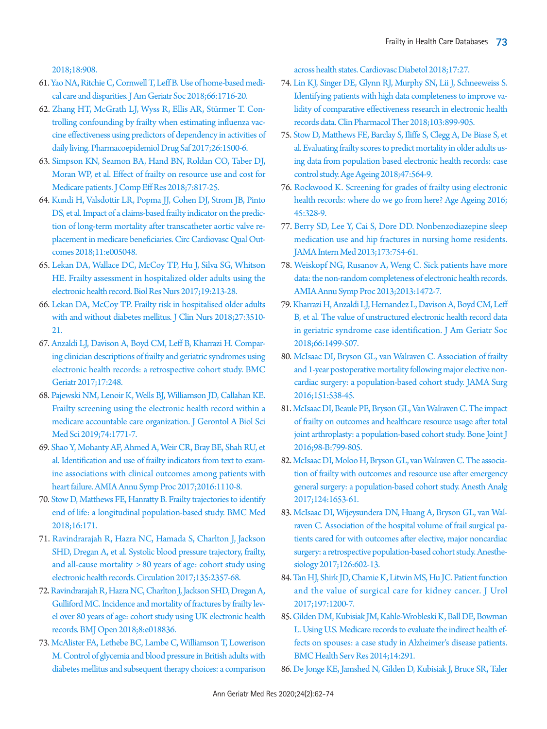2018;18:908.

- <span id="page-11-5"></span>6[1. Yao NA, Ritchie C, Cornwell T, Leff B. Use of home-based medi](https://doi.org/10.1111/jgs.15444)[cal care and disparities. J Am Geriatr Soc 2018;66:1716-20.](https://doi.org/10.1111/jgs.15444)
- <span id="page-11-6"></span>62. [Zhang HT, McGrath LJ, Wyss R, Ellis AR, Stürmer T. Con](https://doi.org/10.1002/pds.4298)[trolling confounding by frailty when estimating influenza vac](https://doi.org/10.1002/pds.4298)[cine effectiveness using predictors of dependency in activities of](https://doi.org/10.1002/pds.4298)  [daily living. Pharmacoepidemiol Drug Saf](https://doi.org/10.1002/pds.4298) 2017;26:1500-6.
- <span id="page-11-7"></span>6[3. Simpson KN, Seamon BA, Hand BN, Roldan CO, Taber DJ,](https://doi.org/10.2217/cer-2018-0029)  [Moran WP, et al. Effect of frailty on resource use and cost for](https://doi.org/10.2217/cer-2018-0029)  [Medicare patients. J Comp Eff Res 2018;7:817-25](https://doi.org/10.2217/cer-2018-0029).
- <span id="page-11-8"></span>6[4. Kundi H, Valsdottir LR, Popma JJ, Cohen DJ, Strom JB, Pinto](https://doi.org/10.1161/CIRCOUTCOMES.118.005048)  [DS, et al. Impact of a claims-based frailty indicator on the predic](https://doi.org/10.1161/CIRCOUTCOMES.118.005048)[tion of long-term mortality after transcatheter aortic valve re](https://doi.org/10.1161/CIRCOUTCOMES.118.005048)[placement in medicare beneficiaries. Circ Cardiovasc](https://doi.org/10.1161/CIRCOUTCOMES.118.005048) Qual Outcomes 2018;11:e005048.
- <span id="page-11-9"></span>6[5. Lekan DA, Wallace DC, McCoy TP, Hu J, Silva SG, Whitson](https://doi.org/10.1177/1099800416679730)  [HE. Frailty assessment in hospitalized older adults using the](https://doi.org/10.1177/1099800416679730)  [electronic health record. Biol Res Nurs 2017;19:213-28](https://doi.org/10.1177/1099800416679730).
- <span id="page-11-18"></span>6[6. Lekan DA, McCoy TP. Frailty risk in hospitalised older adults](https://doi.org/10.1111/jocn.14529)  [with and without diabetes mellitus. J Clin Nurs 2018;27:3510-](https://doi.org/10.1111/jocn.14529) [21](https://doi.org/10.1111/jocn.14529).
- <span id="page-11-12"></span>6[7. Anzaldi LJ, Davison A, Boyd CM, Leff B, Kharrazi H. Compar](https://doi.org/10.1186/s12877-017-0645-7)[ing clinician descriptions of frailty and geriatric syndromes using](https://doi.org/10.1186/s12877-017-0645-7)  [electronic health records: a retrospective cohort study. BMC](https://doi.org/10.1186/s12877-017-0645-7)  [Geriatr 2017;17:248.](https://doi.org/10.1186/s12877-017-0645-7)
- <span id="page-11-10"></span>6[8. Pajewski NM, Lenoir K, Wells BJ, Williamson JD, Callahan KE.](https://doi.org/10.1093/gerona/glz017)  [Frailty screening using the electronic health record within a](https://doi.org/10.1093/gerona/glz017)  [medicare accountable care organization. J Gerontol A Biol Sci](https://doi.org/10.1093/gerona/glz017)  [Med Sci 2019;74:1771-7](https://doi.org/10.1093/gerona/glz017).
- <span id="page-11-11"></span>69. Shao [Y, Mohanty AF, Ahmed A, Weir CR, Bray BE, Shah RU, et](https://www.ncbi.nlm.nih.gov/pubmed/28269908)  [al. Identification and use of frailty indicators from text to exam](https://www.ncbi.nlm.nih.gov/pubmed/28269908)[ine associations with clinical outcomes among patients with](https://www.ncbi.nlm.nih.gov/pubmed/28269908)  [heart failure. AMIA Annu Symp Proc](https://www.ncbi.nlm.nih.gov/pubmed/28269908) 2017;2016:1110-8.
- <span id="page-11-13"></span>70. [Stow D, Matthews FE, Hanratty B. Frailty trajectories to identify](https://doi.org/10.1186/s12916-018-1148-x)  [end of life: a longitudinal population-based study. BMC Med](https://doi.org/10.1186/s12916-018-1148-x)  [2018;16:171.](https://doi.org/10.1186/s12916-018-1148-x)
- <span id="page-11-14"></span>71. [Ravindrarajah R, Hazra NC, Hamada S, Charlton J, Jackson](https://doi.org/10.1161/CIRCULATIONAHA.116.026687)  [SHD, Dregan A, et al. Systolic blood pressure trajectory, frailty,](https://doi.org/10.1161/CIRCULATIONAHA.116.026687)  [and all-cause mortality > 80 years of age: cohort study using](https://doi.org/10.1161/CIRCULATIONAHA.116.026687)  [electronic health records. Circulation 2017;135:2357-68.](https://doi.org/10.1161/CIRCULATIONAHA.116.026687)
- <span id="page-11-15"></span>72. [Ravindrarajah R, Hazra NC, Charlton J, Jackson SHD, Dregan A,](https://doi.org/10.1136/bmjopen-2017-018836)  [Gulliford MC. Incidence and mortality of fractures by frailty lev](https://doi.org/10.1136/bmjopen-2017-018836)[el over 80 years of age: cohort study using UK electronic health](https://doi.org/10.1136/bmjopen-2017-018836)  [records. BMJ Open 2018;8:e018836.](https://doi.org/10.1136/bmjopen-2017-018836)
- <span id="page-11-16"></span>7[3. McAlister FA, Lethebe BC, Lambe C, Williamson T, Lowerison](https://doi.org/10.1186/s12933-018-0673-4)  [M. Control of glycemia and blood pressure in British adults with](https://doi.org/10.1186/s12933-018-0673-4)  [diabetes mellitus and subsequent therapy choices: a comparison](https://doi.org/10.1186/s12933-018-0673-4)

[across health states. Cardiovasc Diabeto](https://doi.org/10.1186/s12933-018-0673-4)l 2018;17:27.

- <span id="page-11-19"></span>74[. Lin KJ, Singer DE, Glynn RJ, Murphy SN, Lii J, Schneeweiss S.](https://doi.org/10.1002/cpt.861)  [Identifying patients with high data completeness to improve va](https://doi.org/10.1002/cpt.861)[lidity of comparative effectiveness research in electronic health](https://doi.org/10.1002/cpt.861)  [records data. Clin Pharmacol Ther](https://doi.org/10.1002/cpt.861) 2018;103:899-905.
- <span id="page-11-17"></span>75. S[tow D, Matthews FE, Barclay S, Iliffe S, Clegg A, De Biase S, et](https://doi.org/10.1093/ageing/afy022)  [al. Evaluating frailty scores to predict mortality in older adults us](https://doi.org/10.1093/ageing/afy022)[ing data from population based electronic health records: case](https://doi.org/10.1093/ageing/afy022)  [control study. Age Ageing 2018;47:564-9](https://doi.org/10.1093/ageing/afy022).
- <span id="page-11-20"></span>7[6. Rockwood K. Screening for grades of frailty using electronic](https://doi.org/10.1093/ageing/afw057)  [health records: where do we go from here? Age Ageing 2016;](https://doi.org/10.1093/ageing/afw057) [45:328-9.](https://doi.org/10.1093/ageing/afw057)
- <span id="page-11-21"></span>7[7. Berry SD, Lee Y, Cai S, Dore DD. Nonbenzodiazepine sleep](https://doi.org/10.1001/jamainternmed.2013.3795)  [medication use and hip fractures in nursing home residents.](https://doi.org/10.1001/jamainternmed.2013.3795)  [JAMA Intern Med 2013;173:754-61](https://doi.org/10.1001/jamainternmed.2013.3795).
- <span id="page-11-22"></span>7[8. Weiskopf NG, Rusanov A, Weng C. Sick patients have more](https://www.ncbi.nlm.nih.gov/pubmed/24551421)  [data: the non-random completeness of electronic health records.](https://www.ncbi.nlm.nih.gov/pubmed/24551421)  [AMIA Annu Symp Proc 2013;2013:1472-7.](https://www.ncbi.nlm.nih.gov/pubmed/24551421)
- 79. [Kharrazi H, Anzaldi LJ, Hernandez L, Davison A, Boyd CM, Leff](https://doi.org/10.1111/jgs.15411)  [B, et al. The value of unstructured electronic health record data](https://doi.org/10.1111/jgs.15411)  [in geriatric syndrome case identification. J Am Geriatr Soc](https://doi.org/10.1111/jgs.15411)  [2018;66:1499-507.](https://doi.org/10.1111/jgs.15411)
- <span id="page-11-0"></span>80[. McIsaac DI, Bryson GL, van Walraven C. Association of frailty](https://doi.org/10.1001/jamasurg.2015.5085)  [and 1-year postoperative mortality following major elective non](https://doi.org/10.1001/jamasurg.2015.5085)[cardiac surgery: a population-based cohort study. JAMA Surg](https://doi.org/10.1001/jamasurg.2015.5085)  [2016;151:538-45](https://doi.org/10.1001/jamasurg.2015.5085).
- 8[1. McIsaac DI, Beaule PE, Bryson GL, Van Walraven C. The impact](https://doi.org/10.1302/0301-620X.98B6.37124)  [of frailty on outcomes and healthcare resource usage after total](https://doi.org/10.1302/0301-620X.98B6.37124)  [joint arthroplasty: a population-based cohort study. Bone Joint J](https://doi.org/10.1302/0301-620X.98B6.37124)  [2016;98-B:799-805.](https://doi.org/10.1302/0301-620X.98B6.37124)
- 82[. McIsaac DI, Moloo H, Bryson GL, van Walraven C. The associa](https://doi.org/10.1213/ANE.0000000000001960)[tion of frailty with outcomes and resource use after emergency](https://doi.org/10.1213/ANE.0000000000001960)  [general surgery: a population-based cohort study. Anesth Analg](https://doi.org/10.1213/ANE.0000000000001960)  [2017;124:1653-61.](https://doi.org/10.1213/ANE.0000000000001960)
- <span id="page-11-1"></span>83[. McIsaac DI, Wijeysundera DN, Huang A, Bryson GL, van Wal](https://doi.org/10.1097/ALN.0000000000001536)[raven C. Association of the hospital volume of frail surgical pa](https://doi.org/10.1097/ALN.0000000000001536)[tients cared for with outcomes after elective, major noncardiac](https://doi.org/10.1097/ALN.0000000000001536)  [surgery: a retrospective population-based cohor](https://doi.org/10.1097/ALN.0000000000001536)t study. Anesthesiology 2017;126:602-13.
- <span id="page-11-2"></span>84[. Tan HJ, Shirk JD, Chamie K, Litwin MS, Hu JC. Patient function](https://doi.org/10.1016/j.juro.2016.12.012)  [and the value of surgical care for kidney cancer. J Urol](https://doi.org/10.1016/j.juro.2016.12.012)  [2017;197:1200-7](https://doi.org/10.1016/j.juro.2016.12.012).
- <span id="page-11-4"></span>8[5. Gilden DM, Kubisiak JM, Kahle-Wrobleski K, Ball DE, Bowman](https://doi.org/10.1186/1472-6963-14-291)  [L. Using U.S. Medicare records to evaluate the indirect health ef](https://doi.org/10.1186/1472-6963-14-291)[fects on spouses: a case study in Alzheimer's disease patients.](https://doi.org/10.1186/1472-6963-14-291)  [BMC Health Serv Res 2014;14:291](https://doi.org/10.1186/1472-6963-14-291).
- <span id="page-11-3"></span>86[. De Jonge KE, Jamshed N, Gilden D, Kubisiak J, Bruce SR, Taler](https://doi.org/10.1111/jgs.12974)